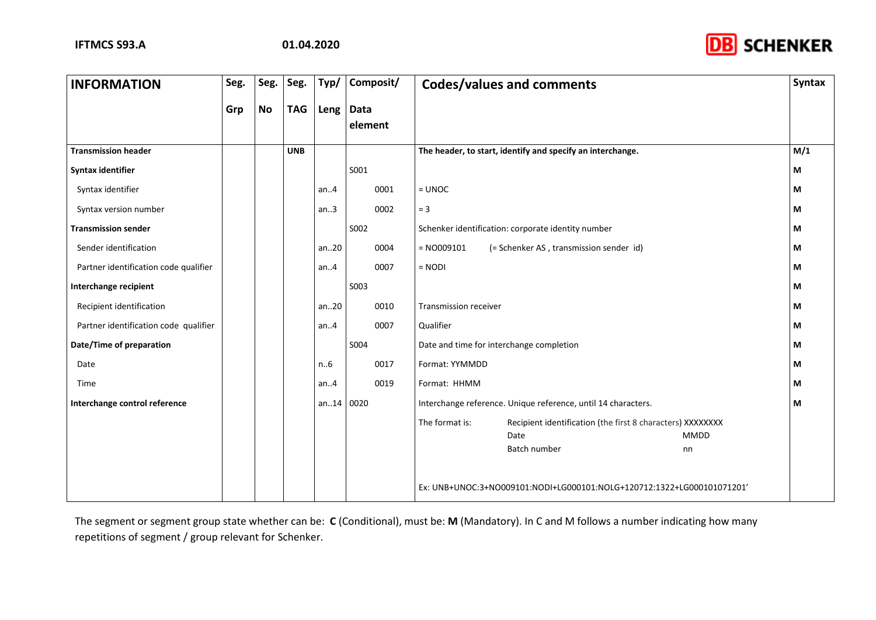

| <b>INFORMATION</b>                    | Seg. | Seg.      | Seg.       | Typ/  | Composit/       | <b>Codes/values and comments</b>                                             | <b>Syntax</b> |
|---------------------------------------|------|-----------|------------|-------|-----------------|------------------------------------------------------------------------------|---------------|
|                                       | Grp  | <b>No</b> | <b>TAG</b> | Leng  | Data<br>element |                                                                              |               |
| <b>Transmission header</b>            |      |           | <b>UNB</b> |       |                 | The header, to start, identify and specify an interchange.                   | M/1           |
| Syntax identifier                     |      |           |            |       | S001            |                                                                              | М             |
| Syntax identifier                     |      |           |            | an.4  | 0001            | $=$ UNOC                                                                     | М             |
| Syntax version number                 |      |           |            | an.3  | 0002            | $= 3$                                                                        | М             |
| <b>Transmission sender</b>            |      |           |            |       | S002            | Schenker identification: corporate identity number                           | М             |
| Sender identification                 |      |           |            | an20  | 0004            | $= N0009101$<br>(= Schenker AS, transmission sender id)                      | М             |
| Partner identification code qualifier |      |           |            | an.4  | 0007            | $=$ NODI                                                                     | М             |
| Interchange recipient                 |      |           |            |       | S003            |                                                                              | М             |
| Recipient identification              |      |           |            | an20  | 0010            | <b>Transmission receiver</b>                                                 | М             |
| Partner identification code qualifier |      |           |            | an.4  | 0007            | Qualifier                                                                    | М             |
| Date/Time of preparation              |      |           |            |       | S004            | Date and time for interchange completion                                     | М             |
| Date                                  |      |           |            | n.6   | 0017            | Format: YYMMDD                                                               | М             |
| Time                                  |      |           |            | an.4  | 0019            | Format: HHMM                                                                 | М             |
| Interchange control reference         |      |           |            | an.14 | 0020            | Interchange reference. Unique reference, until 14 characters.                | М             |
|                                       |      |           |            |       |                 | The format is:<br>Recipient identification (the first 8 characters) XXXXXXXX |               |
|                                       |      |           |            |       |                 | MMDD<br>Date<br>Batch number<br>nn                                           |               |
|                                       |      |           |            |       |                 |                                                                              |               |
|                                       |      |           |            |       |                 | Ex: UNB+UNOC:3+NO009101:NODI+LG000101:NOLG+120712:1322+LG000101071201'       |               |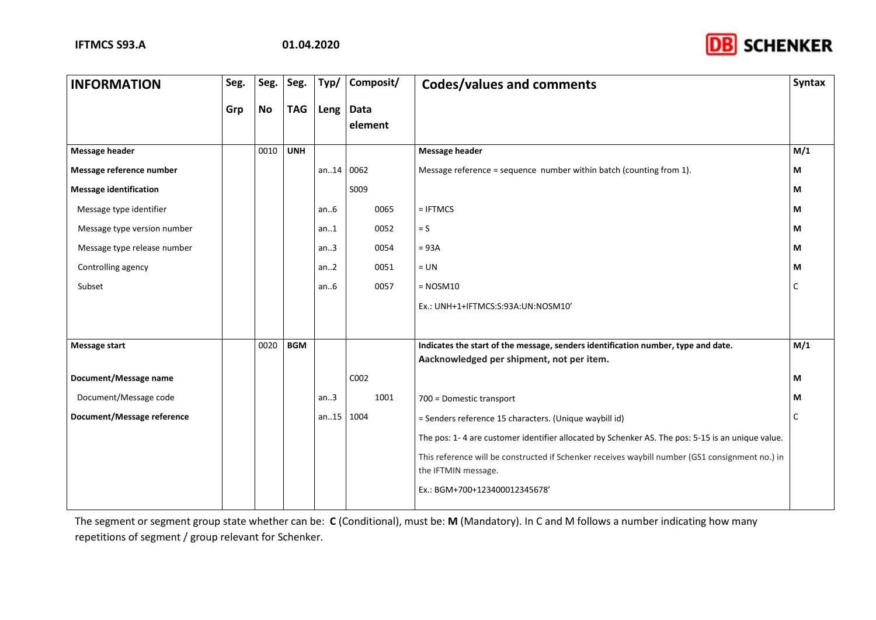

| <b>INFORMATION</b>            | Seg. | Seg.      | Seg.       | Typ/  | Composit/              | <b>Codes/values and comments</b>                                                                                       | <b>Syntax</b> |
|-------------------------------|------|-----------|------------|-------|------------------------|------------------------------------------------------------------------------------------------------------------------|---------------|
|                               | Grp  | <b>No</b> | <b>TAG</b> | Leng  | <b>Data</b><br>element |                                                                                                                        |               |
| <b>Message header</b>         |      | 0010      | <b>UNH</b> |       |                        | <b>Message header</b>                                                                                                  | M/1           |
| Message reference number      |      |           |            | an.14 | 0062                   | Message reference = sequence number within batch (counting from 1).                                                    | М             |
| <b>Message identification</b> |      |           |            |       | S009                   |                                                                                                                        | М             |
| Message type identifier       |      |           |            | an.6  | 0065                   | $= IFTMCS$                                                                                                             | М             |
| Message type version number   |      |           |            | an.1  | 0052                   | $= S$                                                                                                                  | М             |
| Message type release number   |      |           |            | an.3  | 0054                   | $= 93A$                                                                                                                | М             |
| Controlling agency            |      |           |            | an.2  | 0051                   | $= UN$                                                                                                                 | М             |
| Subset                        |      |           |            | an.6  | 0057                   | $=$ NOSM10                                                                                                             | C             |
|                               |      |           |            |       |                        | Ex.: UNH+1+IFTMCS:S:93A:UN:NOSM10'                                                                                     |               |
|                               |      |           |            |       |                        |                                                                                                                        |               |
| <b>Message start</b>          |      | 0020      | <b>BGM</b> |       |                        | Indicates the start of the message, senders identification number, type and date.                                      | M/1           |
|                               |      |           |            |       |                        | Aacknowledged per shipment, not per item.                                                                              |               |
| Document/Message name         |      |           |            |       | C002                   |                                                                                                                        | M             |
| Document/Message code         |      |           |            | an.3  | 1001                   | 700 = Domestic transport                                                                                               | М             |
| Document/Message reference    |      |           |            | an.15 | 1004                   | = Senders reference 15 characters. (Unique waybill id)                                                                 | $\mathsf{C}$  |
|                               |      |           |            |       |                        | The pos: 1-4 are customer identifier allocated by Schenker AS. The pos: 5-15 is an unique value.                       |               |
|                               |      |           |            |       |                        | This reference will be constructed if Schenker receives waybill number (GS1 consignment no.) in<br>the IFTMIN message. |               |
|                               |      |           |            |       |                        | Ex.: BGM+700+123400012345678'                                                                                          |               |
|                               |      |           |            |       |                        |                                                                                                                        |               |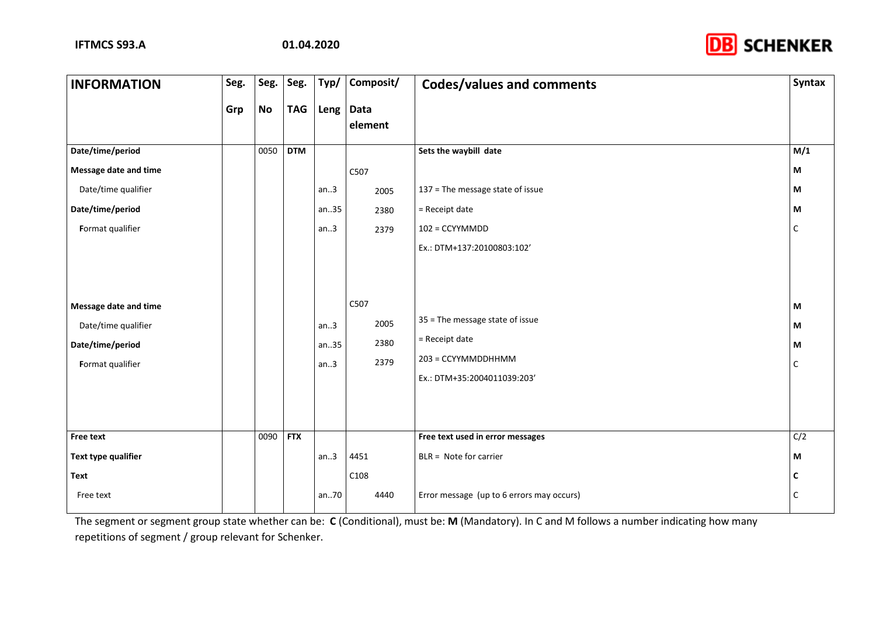

| <b>INFORMATION</b>    | Seg. | Seg.      | Seg.       | Typ/ | Composit/       | <b>Codes/values and comments</b>          | <b>Syntax</b>             |
|-----------------------|------|-----------|------------|------|-----------------|-------------------------------------------|---------------------------|
|                       | Grp  | <b>No</b> | <b>TAG</b> | Leng | Data<br>element |                                           |                           |
| Date/time/period      |      | 0050      | <b>DTM</b> |      |                 | Sets the waybill date                     | M/1                       |
| Message date and time |      |           |            |      | C507            |                                           | $\boldsymbol{\mathsf{M}}$ |
| Date/time qualifier   |      |           |            | an.3 | 2005            | 137 = The message state of issue          | M                         |
| Date/time/period      |      |           |            | an35 | 2380            | = Receipt date                            | М                         |
| Format qualifier      |      |           |            | an.3 | 2379            | $102$ = CCYYMMDD                          | $\mathsf{C}$              |
|                       |      |           |            |      |                 | Ex.: DTM+137:20100803:102'                |                           |
|                       |      |           |            |      |                 |                                           |                           |
| Message date and time |      |           |            |      | C507            |                                           | M                         |
| Date/time qualifier   |      |           |            | an.3 | 2005            | 35 = The message state of issue           | М                         |
| Date/time/period      |      |           |            | an35 | 2380            | = Receipt date                            | M                         |
| Format qualifier      |      |           |            | an.3 | 2379            | 203 = CCYYMMDDHHMM                        | C                         |
|                       |      |           |            |      |                 | Ex.: DTM+35:2004011039:203'               |                           |
|                       |      |           |            |      |                 |                                           |                           |
|                       |      |           |            |      |                 |                                           |                           |
| <b>Free text</b>      |      | 0090      | <b>FTX</b> |      |                 | Free text used in error messages          | C/2                       |
| Text type qualifier   |      |           |            | an.3 | 4451            | BLR = Note for carrier                    | М                         |
| Text                  |      |           |            |      | C108            |                                           | C                         |
| Free text             |      |           |            | an70 | 4440            | Error message (up to 6 errors may occurs) | C                         |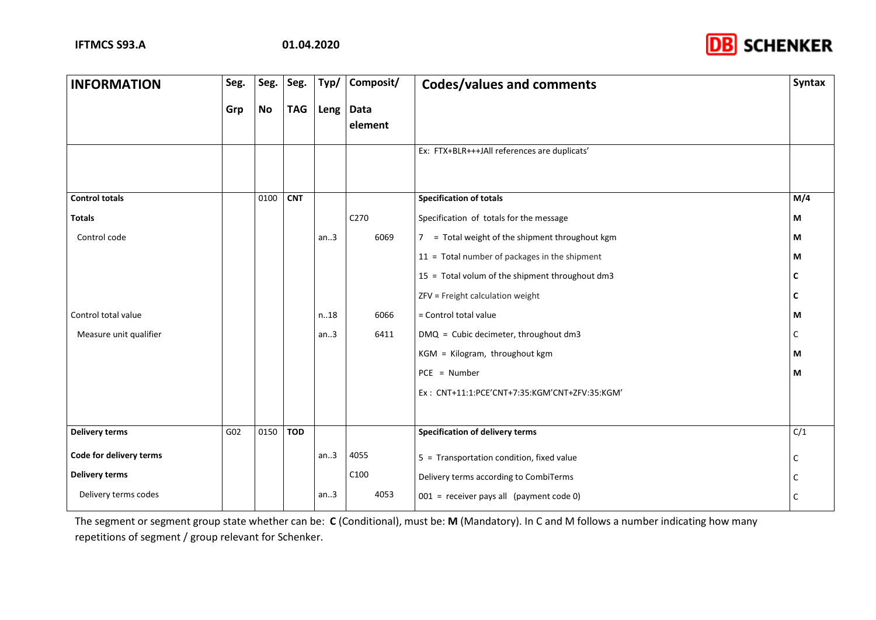

| <b>INFORMATION</b>      | Seg. | Seg.      | Seg.       | Typ/ | Composit/              | <b>Codes/values and comments</b>                | <b>Syntax</b> |
|-------------------------|------|-----------|------------|------|------------------------|-------------------------------------------------|---------------|
|                         | Grp  | <b>No</b> | <b>TAG</b> |      | Leng   Data<br>element |                                                 |               |
|                         |      |           |            |      |                        | Ex: FTX+BLR+++JAll references are duplicats'    |               |
| <b>Control totals</b>   |      | 0100      | <b>CNT</b> |      |                        | <b>Specification of totals</b>                  | M/4           |
| <b>Totals</b>           |      |           |            |      | C270                   | Specification of totals for the message         | М             |
| Control code            |      |           |            | an.3 | 6069                   | 7 = Total weight of the shipment throughout kgm | М             |
|                         |      |           |            |      |                        | 11 = Total number of packages in the shipment   | M             |
|                         |      |           |            |      |                        | 15 = Total volum of the shipment throughout dm3 | C             |
|                         |      |           |            |      |                        | ZFV = Freight calculation weight                | C             |
| Control total value     |      |           |            | n.18 | 6066                   | = Control total value                           | M             |
| Measure unit qualifier  |      |           |            | an.3 | 6411                   | DMQ = Cubic decimeter, throughout dm3           | C             |
|                         |      |           |            |      |                        | KGM = Kilogram, throughout kgm                  | M             |
|                         |      |           |            |      |                        | $PCE = Number$                                  | М             |
|                         |      |           |            |      |                        | Ex: CNT+11:1:PCE'CNT+7:35:KGM'CNT+ZFV:35:KGM'   |               |
|                         |      |           |            |      |                        |                                                 |               |
| <b>Delivery terms</b>   | G02  | 0150      | <b>TOD</b> |      |                        | <b>Specification of delivery terms</b>          | C/1           |
| Code for delivery terms |      |           |            | an.3 | 4055                   | 5 = Transportation condition, fixed value       | C             |
| <b>Delivery terms</b>   |      |           |            |      | C100                   | Delivery terms according to CombiTerms          |               |
| Delivery terms codes    |      |           |            | an.3 | 4053                   | 001 = receiver pays all (payment code 0)        | C             |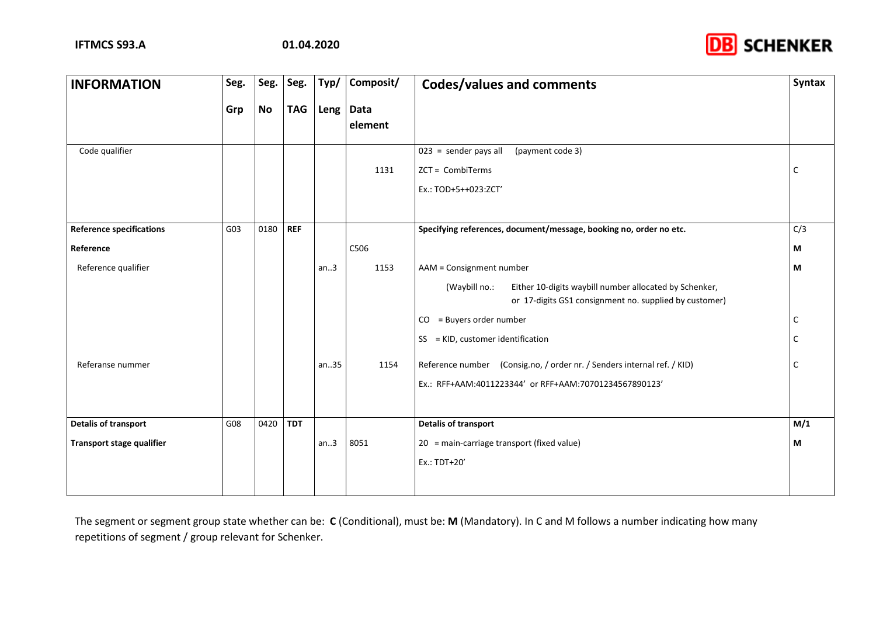

| <b>INFORMATION</b>              | Seg. | Seg. | Seg.       | Typ/ | Composit/       | <b>Codes/values and comments</b>                                                                                                                              | <b>Syntax</b> |
|---------------------------------|------|------|------------|------|-----------------|---------------------------------------------------------------------------------------------------------------------------------------------------------------|---------------|
|                                 | Grp  | No   | <b>TAG</b> | Leng | Data<br>element |                                                                                                                                                               |               |
| Code qualifier                  |      |      |            |      | 1131            | $\overline{023}$ = sender pays all<br>(payment code 3)<br>ZCT = CombiTerms<br>Ex.: TOD+5++023:ZCT'                                                            | C             |
| <b>Reference specifications</b> | G03  | 0180 | <b>REF</b> |      |                 | Specifying references, document/message, booking no, order no etc.                                                                                            | C/3           |
| Reference                       |      |      |            |      | C506            |                                                                                                                                                               | М             |
| Reference qualifier             |      |      |            | an.3 | 1153            | AAM = Consignment number<br>Either 10-digits waybill number allocated by Schenker,<br>(Waybill no.:<br>or 17-digits GS1 consignment no. supplied by customer) | M             |
|                                 |      |      |            |      |                 | $CO = Buyers order number$                                                                                                                                    | C             |
|                                 |      |      |            |      |                 | SS = KID, customer identification                                                                                                                             | C             |
| Referanse nummer                |      |      |            | an35 | 1154            | Reference number (Consig.no, / order nr. / Senders internal ref. / KID)<br>Ex.: RFF+AAM:4011223344' or RFF+AAM:70701234567890123'                             | C             |
| <b>Detalis of transport</b>     | G08  | 0420 | <b>TDT</b> |      |                 | <b>Detalis of transport</b>                                                                                                                                   | M/1           |
| Transport stage qualifier       |      |      |            | an.3 | 8051            | 20 = main-carriage transport (fixed value)<br>Ex.: TDT+20'                                                                                                    | М             |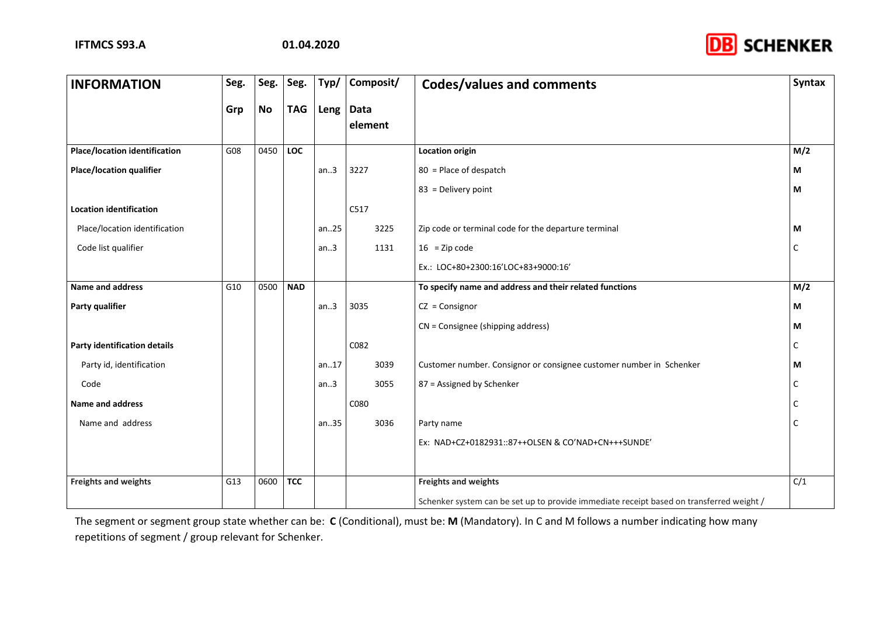

| <b>INFORMATION</b>                   | Seg. | Seg.      | Seg.       | Typ/  | Composit/              | <b>Codes/values and comments</b>                                                         | <b>Syntax</b> |
|--------------------------------------|------|-----------|------------|-------|------------------------|------------------------------------------------------------------------------------------|---------------|
|                                      | Grp  | <b>No</b> | <b>TAG</b> | Leng  | <b>Data</b><br>element |                                                                                          |               |
| <b>Place/location identification</b> | G08  | 0450      | <b>LOC</b> |       |                        | <b>Location origin</b>                                                                   | M/2           |
| <b>Place/location qualifier</b>      |      |           |            | an.3  | 3227                   | 80 = Place of despatch                                                                   | М             |
|                                      |      |           |            |       |                        | 83 = Delivery point                                                                      | М             |
| <b>Location identification</b>       |      |           |            |       | C517                   |                                                                                          |               |
| Place/location identification        |      |           |            | an.25 | 3225                   | Zip code or terminal code for the departure terminal                                     | М             |
| Code list qualifier                  |      |           |            | an.3  | 1131                   | $16 = Zip code$                                                                          | C             |
|                                      |      |           |            |       |                        | Ex.: LOC+80+2300:16'LOC+83+9000:16'                                                      |               |
| Name and address                     | G10  | 0500      | <b>NAD</b> |       |                        | To specify name and address and their related functions                                  | M/2           |
| Party qualifier                      |      |           |            | an.3  | 3035                   | $CZ = Consignor$                                                                         | М             |
|                                      |      |           |            |       |                        | CN = Consignee (shipping address)                                                        | М             |
| Party identification details         |      |           |            |       | C082                   |                                                                                          |               |
| Party id, identification             |      |           |            | an17  | 3039                   | Customer number. Consignor or consignee customer number in Schenker                      | М             |
| Code                                 |      |           |            | an.3  | 3055                   | 87 = Assigned by Schenker                                                                |               |
| Name and address                     |      |           |            |       | C080                   |                                                                                          |               |
| Name and address                     |      |           |            | an35  | 3036                   | Party name                                                                               | C             |
|                                      |      |           |            |       |                        | Ex: NAD+CZ+0182931::87++OLSEN & CO'NAD+CN+++SUNDE'                                       |               |
|                                      |      |           |            |       |                        |                                                                                          |               |
| <b>Freights and weights</b>          | G13  | 0600      | <b>TCC</b> |       |                        | <b>Freights and weights</b>                                                              | C/1           |
|                                      |      |           |            |       |                        | Schenker system can be set up to provide immediate receipt based on transferred weight / |               |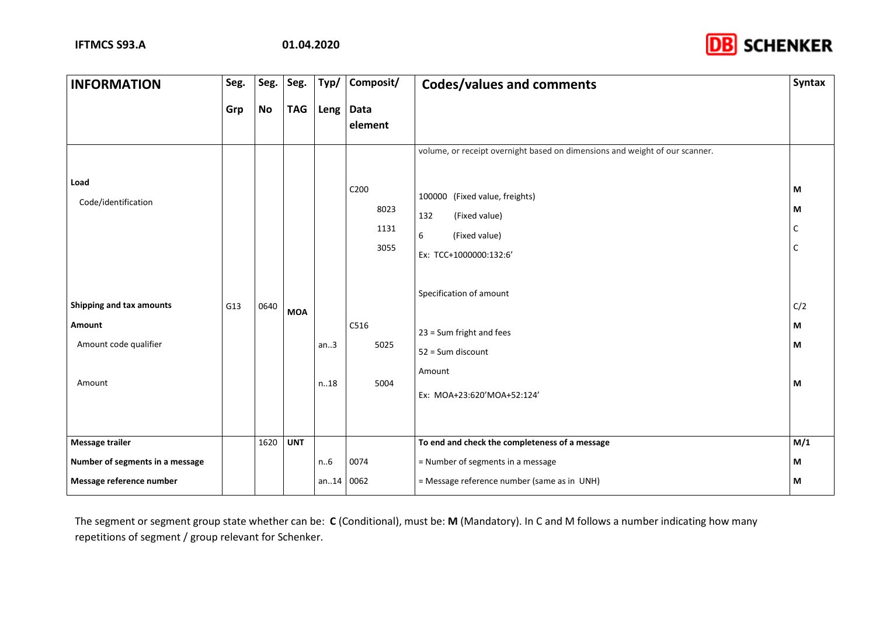

| <b>INFORMATION</b>                                                    | Seg. | Seg. | Seg.       | Typ/         | Composit/                    | <b>Codes/values and comments</b>                                                                                                                                                      | <b>Syntax</b>      |
|-----------------------------------------------------------------------|------|------|------------|--------------|------------------------------|---------------------------------------------------------------------------------------------------------------------------------------------------------------------------------------|--------------------|
|                                                                       | Grp  | No   | <b>TAG</b> | Leng         | Data<br>element              |                                                                                                                                                                                       |                    |
| Load<br>Code/identification                                           |      |      |            |              | C200<br>8023<br>1131<br>3055 | volume, or receipt overnight based on dimensions and weight of our scanner.<br>100000 (Fixed value, freights)<br>132<br>(Fixed value)<br>6<br>(Fixed value)<br>Ex: TCC+1000000:132:6' | M<br>М<br>С<br>C   |
| Shipping and tax amounts<br>Amount<br>Amount code qualifier<br>Amount | G13  | 0640 | <b>MOA</b> | an.3<br>n.18 | C516<br>5025<br>5004         | Specification of amount<br>23 = Sum fright and fees<br>52 = Sum discount<br>Amount<br>Ex: MOA+23:620'MOA+52:124'                                                                      | C/2<br>M<br>M<br>М |
| <b>Message trailer</b>                                                |      | 1620 | <b>UNT</b> |              |                              | To end and check the completeness of a message                                                                                                                                        | M/1                |
| Number of segments in a message<br>Message reference number           |      |      |            | n.6<br>an.14 | 0074<br>0062                 | = Number of segments in a message<br>= Message reference number (same as in UNH)                                                                                                      | М<br>M             |
|                                                                       |      |      |            |              |                              |                                                                                                                                                                                       |                    |